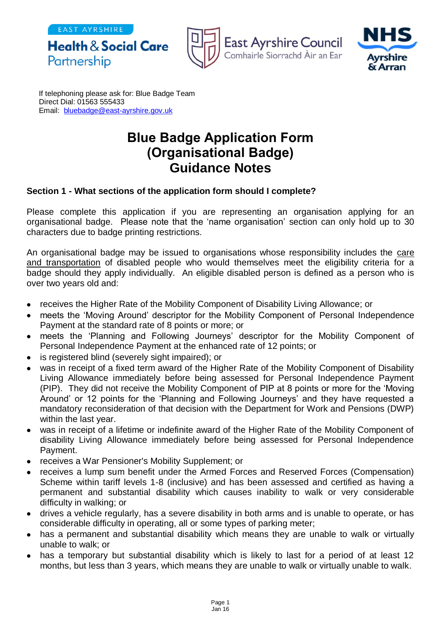







If telephoning please ask for: Blue Badge Team Direct Dial: 01563 555433 Email: [bluebadge@east-ayrshire.gov.uk](mailto:bluebadge@east-ayrshire.gcsx.gov.uk)

## **Blue Badge Application Form (Organisational Badge) Guidance Notes**

## **Section 1 - What sections of the application form should I complete?**

Please complete this application if you are representing an organisation applying for an organisational badge. Please note that the 'name organisation' section can only hold up to 30 characters due to badge printing restrictions.

An organisational badge may be issued to organisations whose responsibility includes the care and transportation of disabled people who would themselves meet the eligibility criteria for a badge should they apply individually. An eligible disabled person is defined as a person who is over two years old and:

- receives the Higher Rate of the Mobility Component of Disability Living Allowance; or
- meets the 'Moving Around' descriptor for the Mobility Component of Personal Independence Payment at the standard rate of 8 points or more; or
- meets the 'Planning and Following Journeys' descriptor for the Mobility Component of Personal Independence Payment at the enhanced rate of 12 points; or
- is registered blind (severely sight impaired); or
- was in receipt of a fixed term award of the Higher Rate of the Mobility Component of Disability Living Allowance immediately before being assessed for Personal Independence Payment (PIP). They did not receive the Mobility Component of PIP at 8 points or more for the 'Moving Around' or 12 points for the 'Planning and Following Journeys' and they have requested a mandatory reconsideration of that decision with the Department for Work and Pensions (DWP) within the last year.
- was in receipt of a lifetime or indefinite award of the Higher Rate of the Mobility Component of disability Living Allowance immediately before being assessed for Personal Independence Payment.
- receives a War Pensioner's Mobility Supplement; or
- receives a lump sum benefit under the Armed Forces and Reserved Forces (Compensation) Scheme within tariff levels 1-8 (inclusive) and has been assessed and certified as having a permanent and substantial disability which causes inability to walk or very considerable difficulty in walking; or
- drives a vehicle regularly, has a severe disability in both arms and is unable to operate, or has considerable difficulty in operating, all or some types of parking meter;
- has a permanent and substantial disability which means they are unable to walk or virtually unable to walk; or
- has a temporary but substantial disability which is likely to last for a period of at least 12 months, but less than 3 years, which means they are unable to walk or virtually unable to walk.